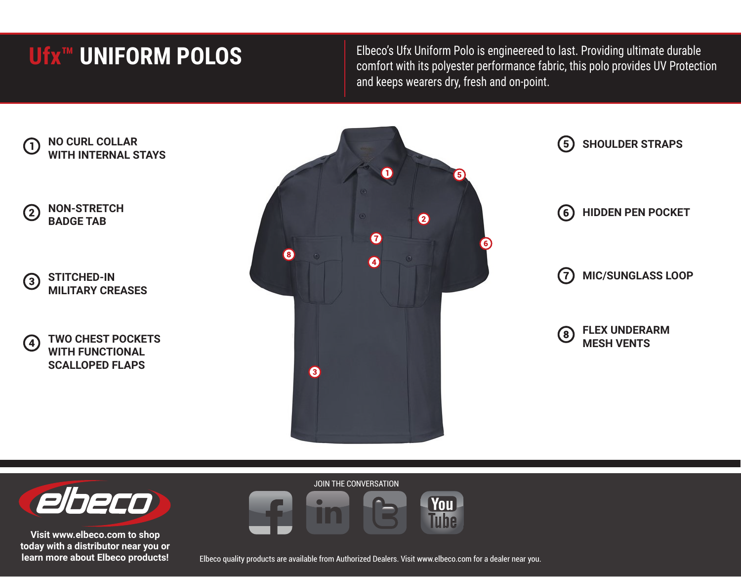## **Ufx™ UNIFORM POLOS**

Elbeco's Ufx Uniform Polo is engineereed to last. Providing ultimate durable comfort with its polyester performance fabric, this polo provides UV Protection and keeps wearers dry, fresh and on-point.





**Visit www.elbeco.com to shop today with a distributor near you or learn more about Elbeco products!**

Elbeco quality products are available from Authorized Dealers. Visit www.elbeco.com for a dealer near you.

**You** Tuhe

JOIN THE CONVERSATION